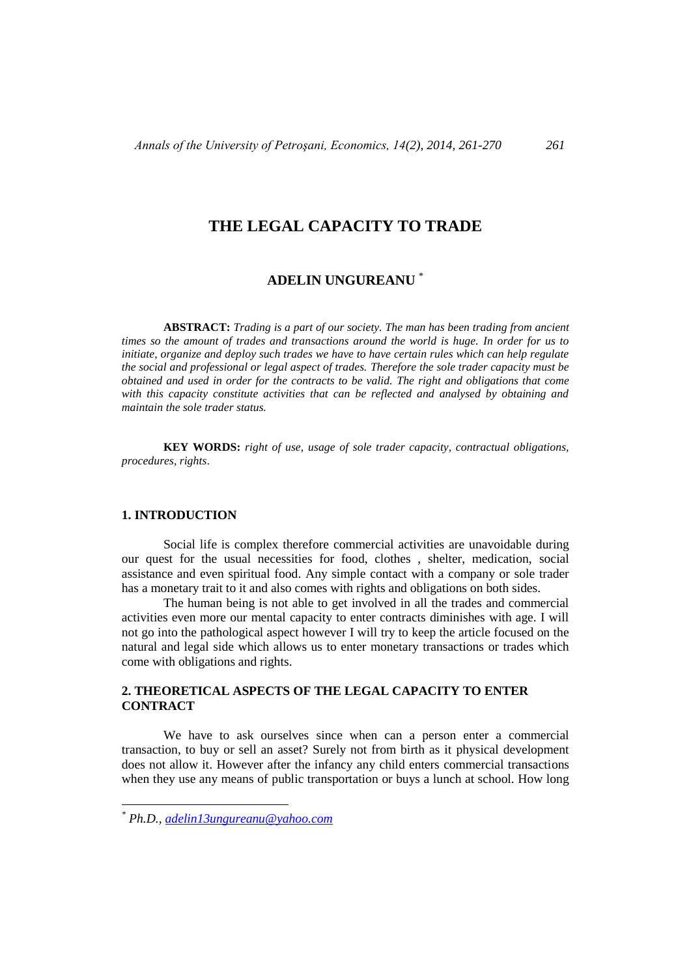# **THE LEGAL CAPACITY TO TRADE**

## **ADELIN UNGUREANU** \*

**ABSTRACT:** *Trading is a part of our society. The man has been trading from ancient times so the amount of trades and transactions around the world is huge. In order for us to initiate, organize and deploy such trades we have to have certain rules which can help regulate the social and professional or legal aspect of trades. Therefore the sole trader capacity must be obtained and used in order for the contracts to be valid. The right and obligations that come with this capacity constitute activities that can be reflected and analysed by obtaining and maintain the sole trader status.*

**KEY WORDS:** *right of use, usage of sole trader capacity, contractual obligations, procedures, rights*.

### **1. INTRODUCTION**

Social life is complex therefore commercial activities are unavoidable during our quest for the usual necessities for food, clothes , shelter, medication, social assistance and even spiritual food. Any simple contact with a company or sole trader has a monetary trait to it and also comes with rights and obligations on both sides.

The human being is not able to get involved in all the trades and commercial activities even more our mental capacity to enter contracts diminishes with age. I will not go into the pathological aspect however I will try to keep the article focused on the natural and legal side which allows us to enter monetary transactions or trades which come with obligations and rights.

### **2. THEORETICAL ASPECTS OF THE LEGAL CAPACITY TO ENTER CONTRACT**

We have to ask ourselves since when can a person enter a commercial transaction, to buy or sell an asset? Surely not from birth as it physical development does not allow it. However after the infancy any child enters commercial transactions when they use any means of public transportation or buys a lunch at school. How long

 $\overline{a}$ 

*<sup>\*</sup> Ph.D., [adelin13ungureanu@yahoo.com](mailto:adelin13ungureanu@yahoo.com)*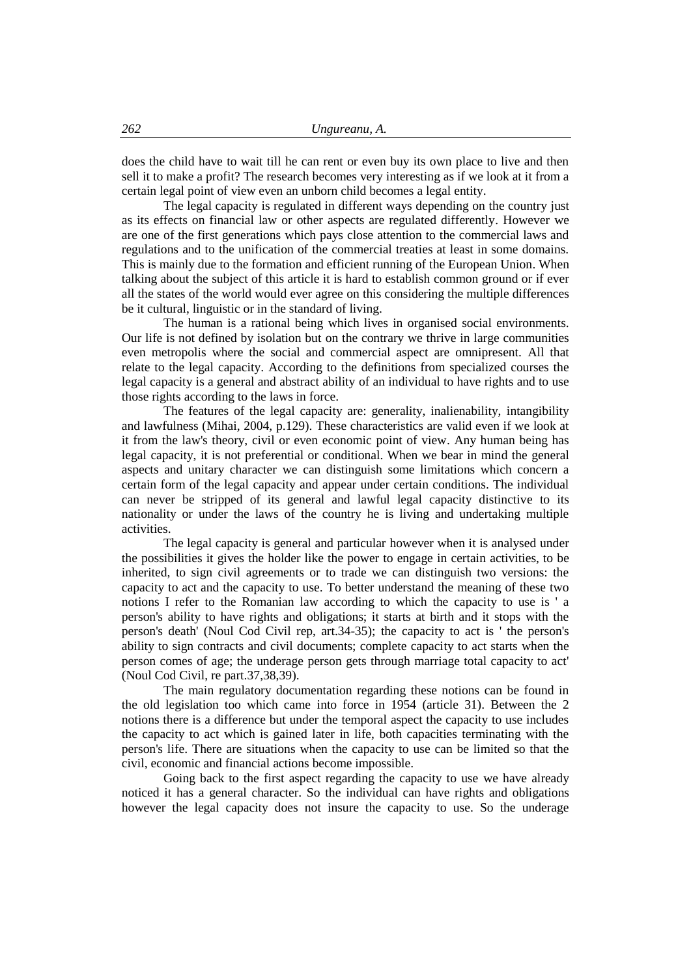does the child have to wait till he can rent or even buy its own place to live and then sell it to make a profit? The research becomes very interesting as if we look at it from a certain legal point of view even an unborn child becomes a legal entity.

The legal capacity is regulated in different ways depending on the country just as its effects on financial law or other aspects are regulated differently. However we are one of the first generations which pays close attention to the commercial laws and regulations and to the unification of the commercial treaties at least in some domains. This is mainly due to the formation and efficient running of the European Union. When talking about the subject of this article it is hard to establish common ground or if ever all the states of the world would ever agree on this considering the multiple differences be it cultural, linguistic or in the standard of living.

The human is a rational being which lives in organised social environments. Our life is not defined by isolation but on the contrary we thrive in large communities even metropolis where the social and commercial aspect are omnipresent. All that relate to the legal capacity. According to the definitions from specialized courses the legal capacity is a general and abstract ability of an individual to have rights and to use those rights according to the laws in force.

The features of the legal capacity are: generality, inalienability, intangibility and lawfulness (Mihai, 2004, p.129). These characteristics are valid even if we look at it from the law's theory, civil or even economic point of view. Any human being has legal capacity, it is not preferential or conditional. When we bear in mind the general aspects and unitary character we can distinguish some limitations which concern a certain form of the legal capacity and appear under certain conditions. The individual can never be stripped of its general and lawful legal capacity distinctive to its nationality or under the laws of the country he is living and undertaking multiple activities.

The legal capacity is general and particular however when it is analysed under the possibilities it gives the holder like the power to engage in certain activities, to be inherited, to sign civil agreements or to trade we can distinguish two versions: the capacity to act and the capacity to use. To better understand the meaning of these two notions I refer to the Romanian law according to which the capacity to use is ' a person's ability to have rights and obligations; it starts at birth and it stops with the person's death' (Noul Cod Civil rep, art.34-35); the capacity to act is ' the person's ability to sign contracts and civil documents; complete capacity to act starts when the person comes of age; the underage person gets through marriage total capacity to act' (Noul Cod Civil, re part.37,38,39).

The main regulatory documentation regarding these notions can be found in the old legislation too which came into force in 1954 (article 31). Between the 2 notions there is a difference but under the temporal aspect the capacity to use includes the capacity to act which is gained later in life, both capacities terminating with the person's life. There are situations when the capacity to use can be limited so that the civil, economic and financial actions become impossible.

Going back to the first aspect regarding the capacity to use we have already noticed it has a general character. So the individual can have rights and obligations however the legal capacity does not insure the capacity to use. So the underage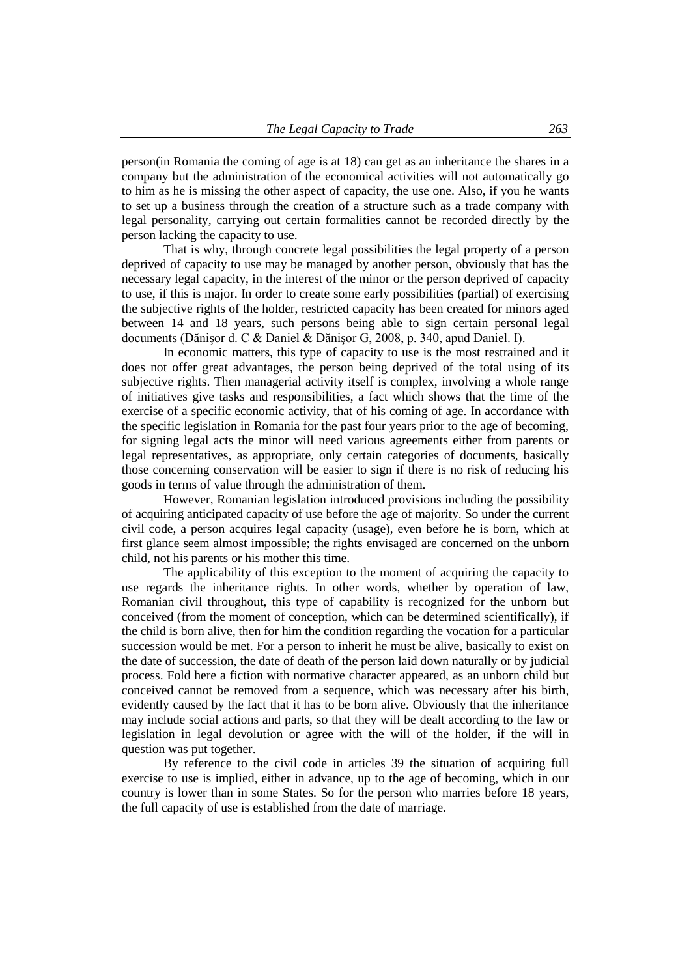person(in Romania the coming of age is at 18) can get as an inheritance the shares in a company but the administration of the economical activities will not automatically go to him as he is missing the other aspect of capacity, the use one. Also, if you he wants to set up a business through the creation of a structure such as a trade company with legal personality, carrying out certain formalities cannot be recorded directly by the person lacking the capacity to use.

That is why, through concrete legal possibilities the legal property of a person deprived of capacity to use may be managed by another person, obviously that has the necessary legal capacity, in the interest of the minor or the person deprived of capacity to use, if this is major. In order to create some early possibilities (partial) of exercising the subjective rights of the holder, restricted capacity has been created for minors aged between 14 and 18 years, such persons being able to sign certain personal legal documents (Dănişor d. C & Daniel & Dănişor G, 2008, p. 340, apud Daniel. I).

In economic matters, this type of capacity to use is the most restrained and it does not offer great advantages, the person being deprived of the total using of its subjective rights. Then managerial activity itself is complex, involving a whole range of initiatives give tasks and responsibilities, a fact which shows that the time of the exercise of a specific economic activity, that of his coming of age. In accordance with the specific legislation in Romania for the past four years prior to the age of becoming, for signing legal acts the minor will need various agreements either from parents or legal representatives, as appropriate, only certain categories of documents, basically those concerning conservation will be easier to sign if there is no risk of reducing his goods in terms of value through the administration of them.

However, Romanian legislation introduced provisions including the possibility of acquiring anticipated capacity of use before the age of majority. So under the current civil code, a person acquires legal capacity (usage), even before he is born, which at first glance seem almost impossible; the rights envisaged are concerned on the unborn child, not his parents or his mother this time.

The applicability of this exception to the moment of acquiring the capacity to use regards the inheritance rights. In other words, whether by operation of law, Romanian civil throughout, this type of capability is recognized for the unborn but conceived (from the moment of conception, which can be determined scientifically), if the child is born alive, then for him the condition regarding the vocation for a particular succession would be met. For a person to inherit he must be alive, basically to exist on the date of succession, the date of death of the person laid down naturally or by judicial process. Fold here a fiction with normative character appeared, as an unborn child but conceived cannot be removed from a sequence, which was necessary after his birth, evidently caused by the fact that it has to be born alive. Obviously that the inheritance may include social actions and parts, so that they will be dealt according to the law or legislation in legal devolution or agree with the will of the holder, if the will in question was put together.

By reference to the civil code in articles 39 the situation of acquiring full exercise to use is implied, either in advance, up to the age of becoming, which in our country is lower than in some States. So for the person who marries before 18 years, the full capacity of use is established from the date of marriage.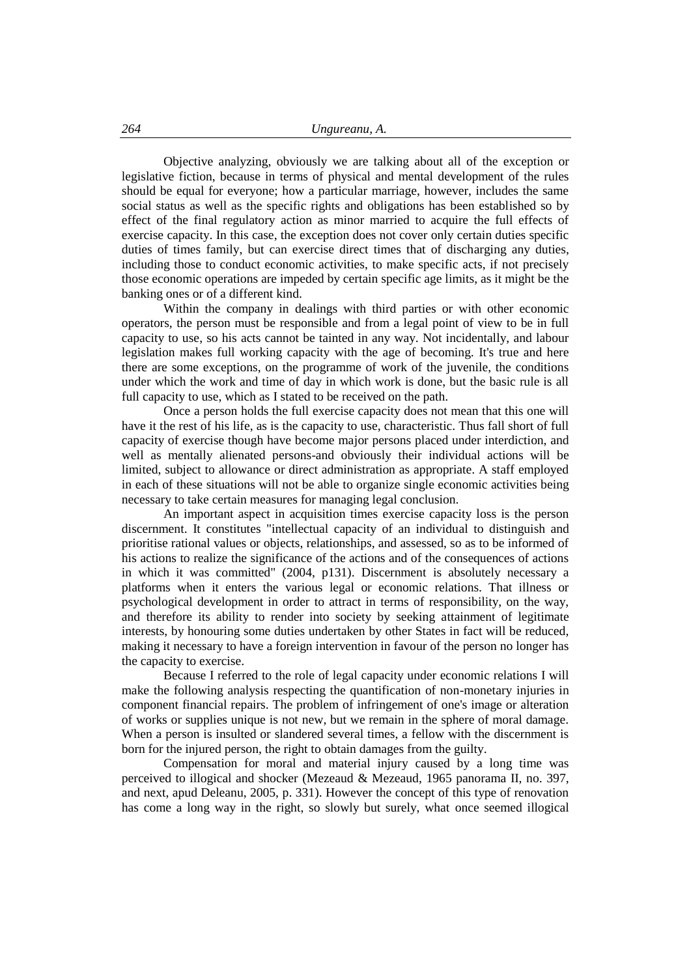Objective analyzing, obviously we are talking about all of the exception or legislative fiction, because in terms of physical and mental development of the rules should be equal for everyone; how a particular marriage, however, includes the same social status as well as the specific rights and obligations has been established so by effect of the final regulatory action as minor married to acquire the full effects of exercise capacity. In this case, the exception does not cover only certain duties specific duties of times family, but can exercise direct times that of discharging any duties, including those to conduct economic activities, to make specific acts, if not precisely those economic operations are impeded by certain specific age limits, as it might be the banking ones or of a different kind.

Within the company in dealings with third parties or with other economic operators, the person must be responsible and from a legal point of view to be in full capacity to use, so his acts cannot be tainted in any way. Not incidentally, and labour legislation makes full working capacity with the age of becoming. It's true and here there are some exceptions, on the programme of work of the juvenile, the conditions under which the work and time of day in which work is done, but the basic rule is all full capacity to use, which as I stated to be received on the path.

Once a person holds the full exercise capacity does not mean that this one will have it the rest of his life, as is the capacity to use, characteristic. Thus fall short of full capacity of exercise though have become major persons placed under interdiction, and well as mentally alienated persons-and obviously their individual actions will be limited, subject to allowance or direct administration as appropriate. A staff employed in each of these situations will not be able to organize single economic activities being necessary to take certain measures for managing legal conclusion.

An important aspect in acquisition times exercise capacity loss is the person discernment. It constitutes "intellectual capacity of an individual to distinguish and prioritise rational values or objects, relationships, and assessed, so as to be informed of his actions to realize the significance of the actions and of the consequences of actions in which it was committed" (2004, p131). Discernment is absolutely necessary a platforms when it enters the various legal or economic relations. That illness or psychological development in order to attract in terms of responsibility, on the way, and therefore its ability to render into society by seeking attainment of legitimate interests, by honouring some duties undertaken by other States in fact will be reduced, making it necessary to have a foreign intervention in favour of the person no longer has the capacity to exercise.

Because I referred to the role of legal capacity under economic relations I will make the following analysis respecting the quantification of non-monetary injuries in component financial repairs. The problem of infringement of one's image or alteration of works or supplies unique is not new, but we remain in the sphere of moral damage. When a person is insulted or slandered several times, a fellow with the discernment is born for the injured person, the right to obtain damages from the guilty.

Compensation for moral and material injury caused by a long time was perceived to illogical and shocker (Mezeaud & Mezeaud, 1965 panorama II, no. 397, and next, apud Deleanu, 2005, p. 331). However the concept of this type of renovation has come a long way in the right, so slowly but surely, what once seemed illogical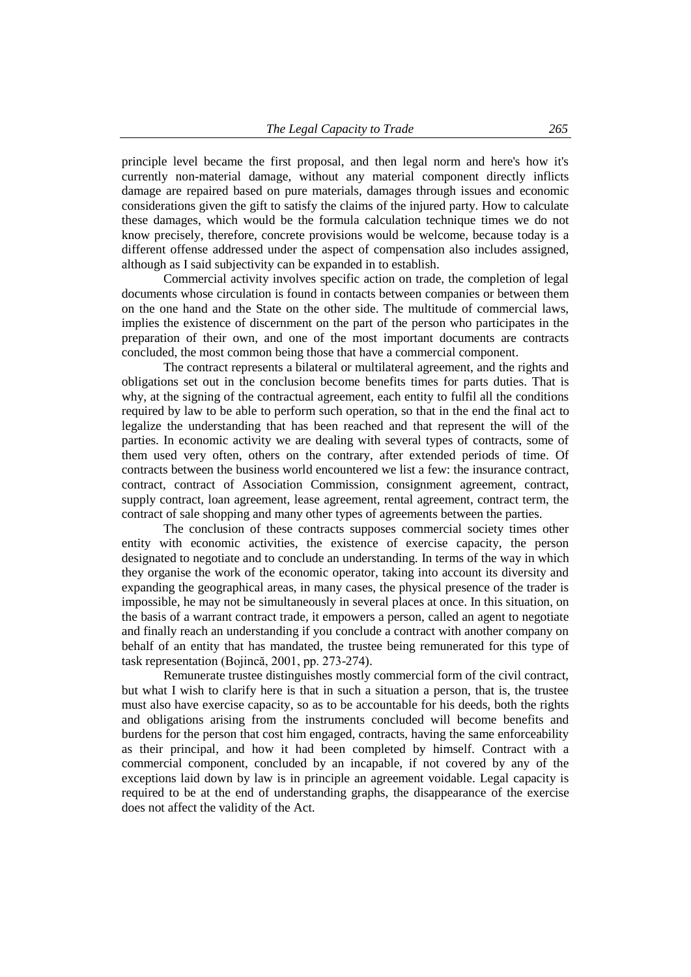principle level became the first proposal, and then legal norm and here's how it's currently non-material damage, without any material component directly inflicts damage are repaired based on pure materials, damages through issues and economic considerations given the gift to satisfy the claims of the injured party. How to calculate these damages, which would be the formula calculation technique times we do not know precisely, therefore, concrete provisions would be welcome, because today is a different offense addressed under the aspect of compensation also includes assigned, although as I said subjectivity can be expanded in to establish.

Commercial activity involves specific action on trade, the completion of legal documents whose circulation is found in contacts between companies or between them on the one hand and the State on the other side. The multitude of commercial laws, implies the existence of discernment on the part of the person who participates in the preparation of their own, and one of the most important documents are contracts concluded, the most common being those that have a commercial component.

The contract represents a bilateral or multilateral agreement, and the rights and obligations set out in the conclusion become benefits times for parts duties. That is why, at the signing of the contractual agreement, each entity to fulfil all the conditions required by law to be able to perform such operation, so that in the end the final act to legalize the understanding that has been reached and that represent the will of the parties. In economic activity we are dealing with several types of contracts, some of them used very often, others on the contrary, after extended periods of time. Of contracts between the business world encountered we list a few: the insurance contract, contract, contract of Association Commission, consignment agreement, contract, supply contract, loan agreement, lease agreement, rental agreement, contract term, the contract of sale shopping and many other types of agreements between the parties.

The conclusion of these contracts supposes commercial society times other entity with economic activities, the existence of exercise capacity, the person designated to negotiate and to conclude an understanding. In terms of the way in which they organise the work of the economic operator, taking into account its diversity and expanding the geographical areas, in many cases, the physical presence of the trader is impossible, he may not be simultaneously in several places at once. In this situation, on the basis of a warrant contract trade, it empowers a person, called an agent to negotiate and finally reach an understanding if you conclude a contract with another company on behalf of an entity that has mandated, the trustee being remunerated for this type of task representation (Bojincă, 2001, pp. 273-274).

Remunerate trustee distinguishes mostly commercial form of the civil contract, but what I wish to clarify here is that in such a situation a person, that is, the trustee must also have exercise capacity, so as to be accountable for his deeds, both the rights and obligations arising from the instruments concluded will become benefits and burdens for the person that cost him engaged, contracts, having the same enforceability as their principal, and how it had been completed by himself. Contract with a commercial component, concluded by an incapable, if not covered by any of the exceptions laid down by law is in principle an agreement voidable. Legal capacity is required to be at the end of understanding graphs, the disappearance of the exercise does not affect the validity of the Act.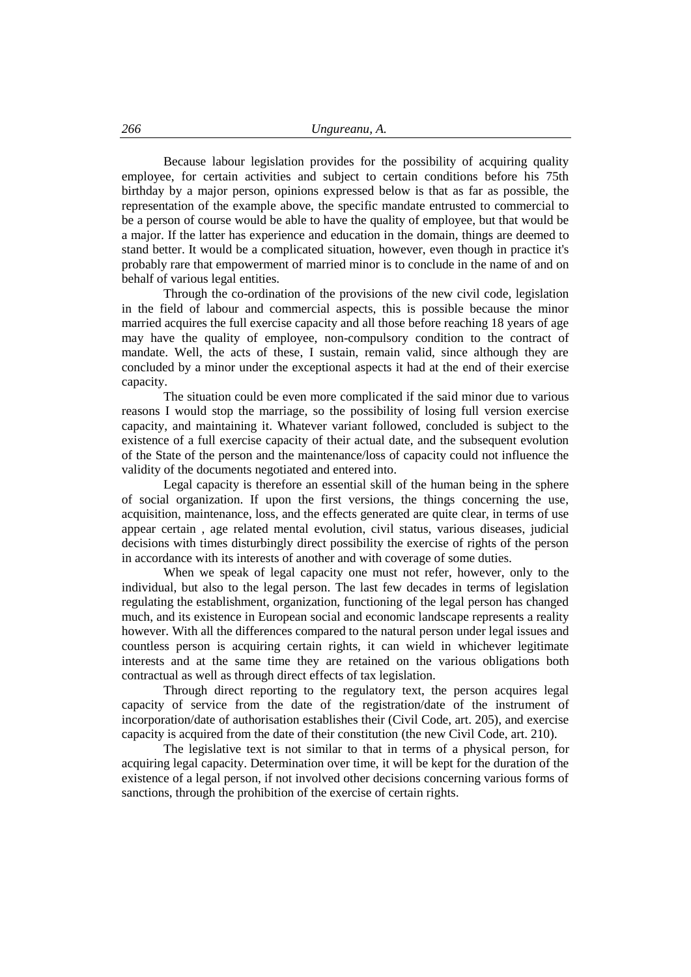Because labour legislation provides for the possibility of acquiring quality employee, for certain activities and subject to certain conditions before his 75th birthday by a major person, opinions expressed below is that as far as possible, the representation of the example above, the specific mandate entrusted to commercial to be a person of course would be able to have the quality of employee, but that would be a major. If the latter has experience and education in the domain, things are deemed to stand better. It would be a complicated situation, however, even though in practice it's probably rare that empowerment of married minor is to conclude in the name of and on behalf of various legal entities.

Through the co-ordination of the provisions of the new civil code, legislation in the field of labour and commercial aspects, this is possible because the minor married acquires the full exercise capacity and all those before reaching 18 years of age may have the quality of employee, non-compulsory condition to the contract of mandate. Well, the acts of these, I sustain, remain valid, since although they are concluded by a minor under the exceptional aspects it had at the end of their exercise capacity.

The situation could be even more complicated if the said minor due to various reasons I would stop the marriage, so the possibility of losing full version exercise capacity, and maintaining it. Whatever variant followed, concluded is subject to the existence of a full exercise capacity of their actual date, and the subsequent evolution of the State of the person and the maintenance/loss of capacity could not influence the validity of the documents negotiated and entered into.

Legal capacity is therefore an essential skill of the human being in the sphere of social organization. If upon the first versions, the things concerning the use, acquisition, maintenance, loss, and the effects generated are quite clear, in terms of use appear certain , age related mental evolution, civil status, various diseases, judicial decisions with times disturbingly direct possibility the exercise of rights of the person in accordance with its interests of another and with coverage of some duties.

When we speak of legal capacity one must not refer, however, only to the individual, but also to the legal person. The last few decades in terms of legislation regulating the establishment, organization, functioning of the legal person has changed much, and its existence in European social and economic landscape represents a reality however. With all the differences compared to the natural person under legal issues and countless person is acquiring certain rights, it can wield in whichever legitimate interests and at the same time they are retained on the various obligations both contractual as well as through direct effects of tax legislation.

Through direct reporting to the regulatory text, the person acquires legal capacity of service from the date of the registration/date of the instrument of incorporation/date of authorisation establishes their (Civil Code, art. 205), and exercise capacity is acquired from the date of their constitution (the new Civil Code, art. 210).

The legislative text is not similar to that in terms of a physical person, for acquiring legal capacity. Determination over time, it will be kept for the duration of the existence of a legal person, if not involved other decisions concerning various forms of sanctions, through the prohibition of the exercise of certain rights.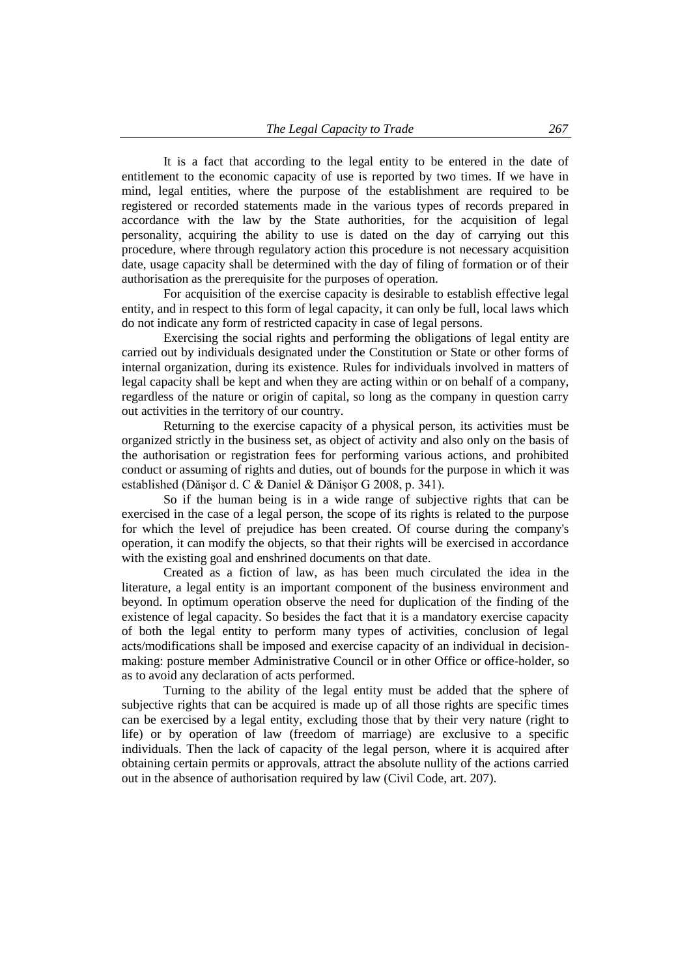It is a fact that according to the legal entity to be entered in the date of entitlement to the economic capacity of use is reported by two times. If we have in mind, legal entities, where the purpose of the establishment are required to be registered or recorded statements made in the various types of records prepared in accordance with the law by the State authorities, for the acquisition of legal personality, acquiring the ability to use is dated on the day of carrying out this procedure, where through regulatory action this procedure is not necessary acquisition date, usage capacity shall be determined with the day of filing of formation or of their authorisation as the prerequisite for the purposes of operation.

For acquisition of the exercise capacity is desirable to establish effective legal entity, and in respect to this form of legal capacity, it can only be full, local laws which do not indicate any form of restricted capacity in case of legal persons.

Exercising the social rights and performing the obligations of legal entity are carried out by individuals designated under the Constitution or State or other forms of internal organization, during its existence. Rules for individuals involved in matters of legal capacity shall be kept and when they are acting within or on behalf of a company, regardless of the nature or origin of capital, so long as the company in question carry out activities in the territory of our country.

Returning to the exercise capacity of a physical person, its activities must be organized strictly in the business set, as object of activity and also only on the basis of the authorisation or registration fees for performing various actions, and prohibited conduct or assuming of rights and duties, out of bounds for the purpose in which it was established (Dănişor d. C & Daniel & Dănişor G 2008, p. 341).

So if the human being is in a wide range of subjective rights that can be exercised in the case of a legal person, the scope of its rights is related to the purpose for which the level of prejudice has been created. Of course during the company's operation, it can modify the objects, so that their rights will be exercised in accordance with the existing goal and enshrined documents on that date.

Created as a fiction of law, as has been much circulated the idea in the literature, a legal entity is an important component of the business environment and beyond. In optimum operation observe the need for duplication of the finding of the existence of legal capacity. So besides the fact that it is a mandatory exercise capacity of both the legal entity to perform many types of activities, conclusion of legal acts/modifications shall be imposed and exercise capacity of an individual in decisionmaking: posture member Administrative Council or in other Office or office-holder, so as to avoid any declaration of acts performed.

Turning to the ability of the legal entity must be added that the sphere of subjective rights that can be acquired is made up of all those rights are specific times can be exercised by a legal entity, excluding those that by their very nature (right to life) or by operation of law (freedom of marriage) are exclusive to a specific individuals. Then the lack of capacity of the legal person, where it is acquired after obtaining certain permits or approvals, attract the absolute nullity of the actions carried out in the absence of authorisation required by law (Civil Code, art. 207).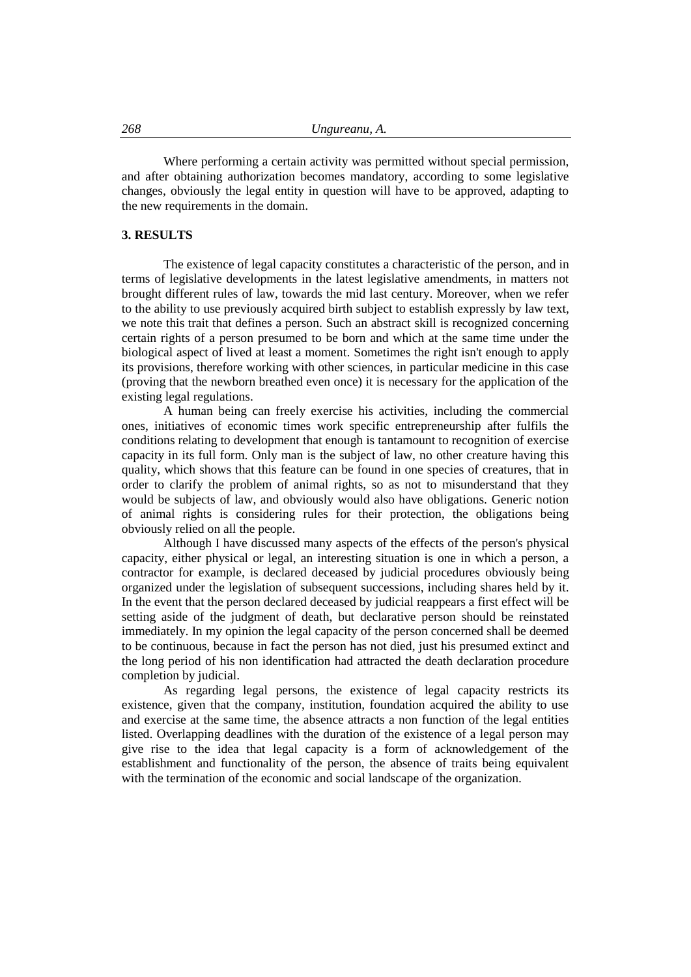Where performing a certain activity was permitted without special permission, and after obtaining authorization becomes mandatory, according to some legislative changes, obviously the legal entity in question will have to be approved, adapting to the new requirements in the domain.

### **3. RESULTS**

The existence of legal capacity constitutes a characteristic of the person, and in terms of legislative developments in the latest legislative amendments, in matters not brought different rules of law, towards the mid last century. Moreover, when we refer to the ability to use previously acquired birth subject to establish expressly by law text, we note this trait that defines a person. Such an abstract skill is recognized concerning certain rights of a person presumed to be born and which at the same time under the biological aspect of lived at least a moment. Sometimes the right isn't enough to apply its provisions, therefore working with other sciences, in particular medicine in this case (proving that the newborn breathed even once) it is necessary for the application of the existing legal regulations.

A human being can freely exercise his activities, including the commercial ones, initiatives of economic times work specific entrepreneurship after fulfils the conditions relating to development that enough is tantamount to recognition of exercise capacity in its full form. Only man is the subject of law, no other creature having this quality, which shows that this feature can be found in one species of creatures, that in order to clarify the problem of animal rights, so as not to misunderstand that they would be subjects of law, and obviously would also have obligations. Generic notion of animal rights is considering rules for their protection, the obligations being obviously relied on all the people.

Although I have discussed many aspects of the effects of the person's physical capacity, either physical or legal, an interesting situation is one in which a person, a contractor for example, is declared deceased by judicial procedures obviously being organized under the legislation of subsequent successions, including shares held by it. In the event that the person declared deceased by judicial reappears a first effect will be setting aside of the judgment of death, but declarative person should be reinstated immediately. In my opinion the legal capacity of the person concerned shall be deemed to be continuous, because in fact the person has not died, just his presumed extinct and the long period of his non identification had attracted the death declaration procedure completion by judicial.

As regarding legal persons, the existence of legal capacity restricts its existence, given that the company, institution, foundation acquired the ability to use and exercise at the same time, the absence attracts a non function of the legal entities listed. Overlapping deadlines with the duration of the existence of a legal person may give rise to the idea that legal capacity is a form of acknowledgement of the establishment and functionality of the person, the absence of traits being equivalent with the termination of the economic and social landscape of the organization.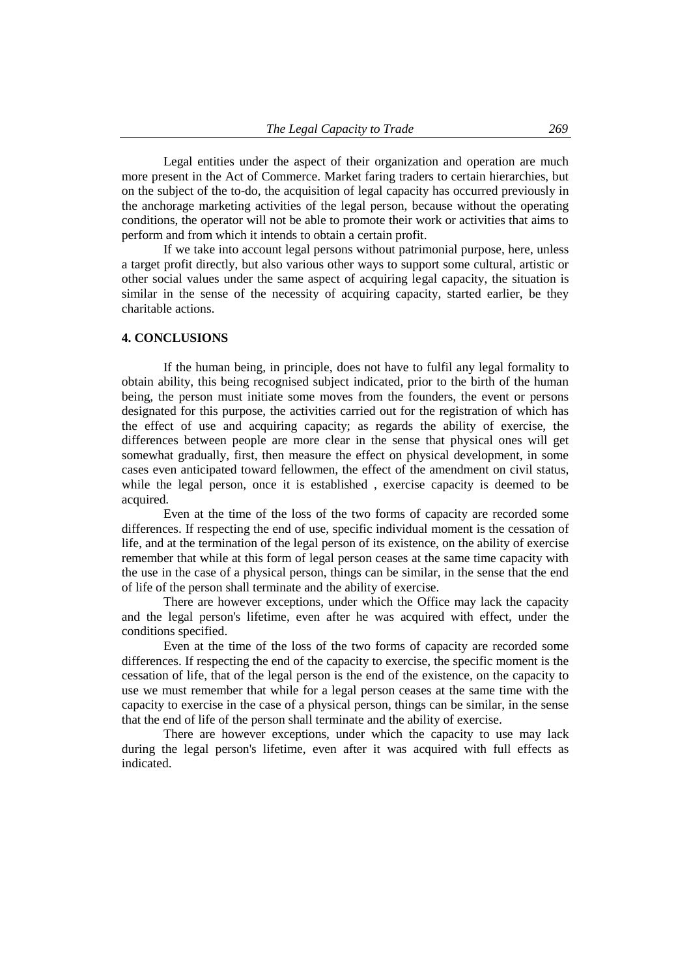Legal entities under the aspect of their organization and operation are much more present in the Act of Commerce. Market faring traders to certain hierarchies, but on the subject of the to-do, the acquisition of legal capacity has occurred previously in the anchorage marketing activities of the legal person, because without the operating conditions, the operator will not be able to promote their work or activities that aims to perform and from which it intends to obtain a certain profit.

If we take into account legal persons without patrimonial purpose, here, unless a target profit directly, but also various other ways to support some cultural, artistic or other social values under the same aspect of acquiring legal capacity, the situation is similar in the sense of the necessity of acquiring capacity, started earlier, be they charitable actions.

### **4. CONCLUSIONS**

If the human being, in principle, does not have to fulfil any legal formality to obtain ability, this being recognised subject indicated, prior to the birth of the human being, the person must initiate some moves from the founders, the event or persons designated for this purpose, the activities carried out for the registration of which has the effect of use and acquiring capacity; as regards the ability of exercise, the differences between people are more clear in the sense that physical ones will get somewhat gradually, first, then measure the effect on physical development, in some cases even anticipated toward fellowmen, the effect of the amendment on civil status, while the legal person, once it is established , exercise capacity is deemed to be acquired.

Even at the time of the loss of the two forms of capacity are recorded some differences. If respecting the end of use, specific individual moment is the cessation of life, and at the termination of the legal person of its existence, on the ability of exercise remember that while at this form of legal person ceases at the same time capacity with the use in the case of a physical person, things can be similar, in the sense that the end of life of the person shall terminate and the ability of exercise.

There are however exceptions, under which the Office may lack the capacity and the legal person's lifetime, even after he was acquired with effect, under the conditions specified.

Even at the time of the loss of the two forms of capacity are recorded some differences. If respecting the end of the capacity to exercise, the specific moment is the cessation of life, that of the legal person is the end of the existence, on the capacity to use we must remember that while for a legal person ceases at the same time with the capacity to exercise in the case of a physical person, things can be similar, in the sense that the end of life of the person shall terminate and the ability of exercise.

There are however exceptions, under which the capacity to use may lack during the legal person's lifetime, even after it was acquired with full effects as indicated.